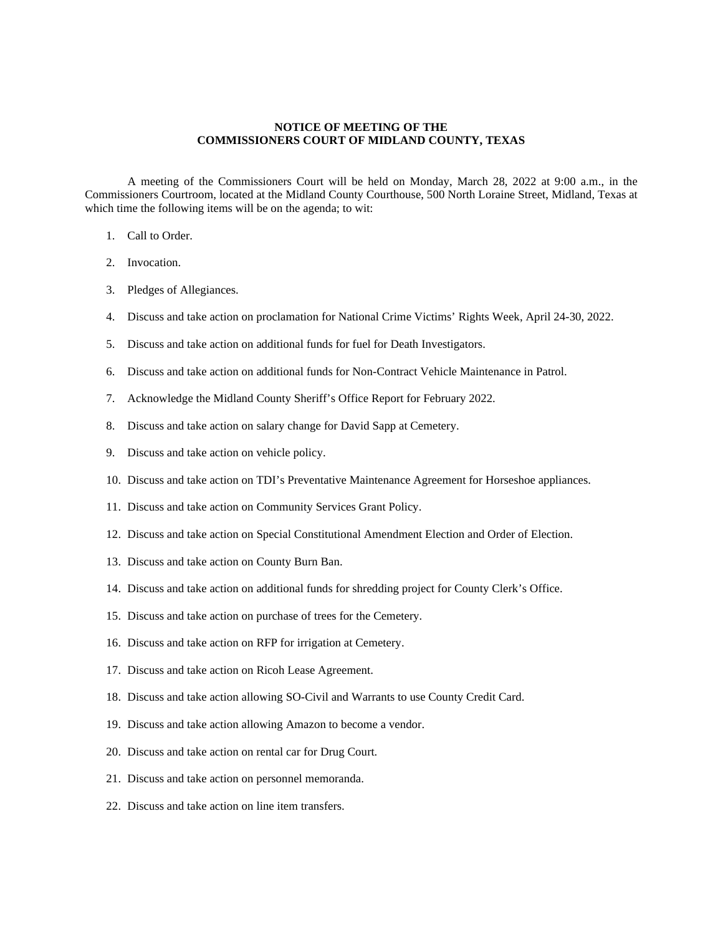## **NOTICE OF MEETING OF THE COMMISSIONERS COURT OF MIDLAND COUNTY, TEXAS**

A meeting of the Commissioners Court will be held on Monday, March 28, 2022 at 9:00 a.m., in the Commissioners Courtroom, located at the Midland County Courthouse, 500 North Loraine Street, Midland, Texas at which time the following items will be on the agenda; to wit:

- 1. Call to Order.
- 2. Invocation.
- 3. Pledges of Allegiances.
- 4. Discuss and take action on proclamation for National Crime Victims' Rights Week, April 24-30, 2022.
- 5. Discuss and take action on additional funds for fuel for Death Investigators.
- 6. Discuss and take action on additional funds for Non-Contract Vehicle Maintenance in Patrol.
- 7. Acknowledge the Midland County Sheriff's Office Report for February 2022.
- 8. Discuss and take action on salary change for David Sapp at Cemetery.
- 9. Discuss and take action on vehicle policy.
- 10. Discuss and take action on TDI's Preventative Maintenance Agreement for Horseshoe appliances.
- 11. Discuss and take action on Community Services Grant Policy.
- 12. Discuss and take action on Special Constitutional Amendment Election and Order of Election.
- 13. Discuss and take action on County Burn Ban.
- 14. Discuss and take action on additional funds for shredding project for County Clerk's Office.
- 15. Discuss and take action on purchase of trees for the Cemetery.
- 16. Discuss and take action on RFP for irrigation at Cemetery.
- 17. Discuss and take action on Ricoh Lease Agreement.
- 18. Discuss and take action allowing SO-Civil and Warrants to use County Credit Card.
- 19. Discuss and take action allowing Amazon to become a vendor.
- 20. Discuss and take action on rental car for Drug Court.
- 21. Discuss and take action on personnel memoranda.
- 22. Discuss and take action on line item transfers.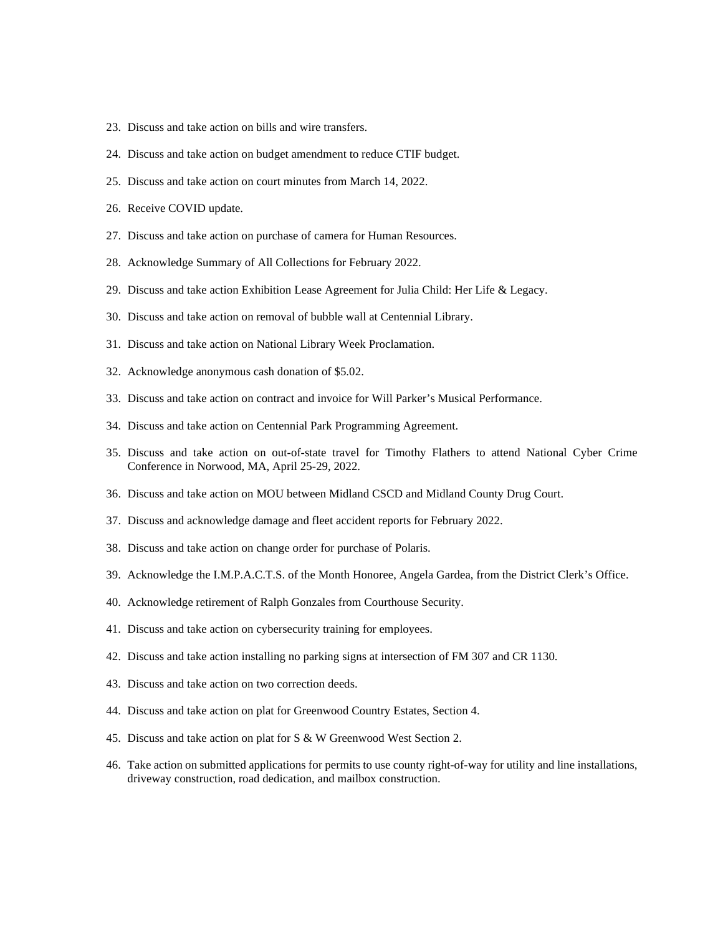- 23. Discuss and take action on bills and wire transfers.
- 24. Discuss and take action on budget amendment to reduce CTIF budget.
- 25. Discuss and take action on court minutes from March 14, 2022.
- 26. Receive COVID update.
- 27. Discuss and take action on purchase of camera for Human Resources.
- 28. Acknowledge Summary of All Collections for February 2022.
- 29. Discuss and take action Exhibition Lease Agreement for Julia Child: Her Life & Legacy.
- 30. Discuss and take action on removal of bubble wall at Centennial Library.
- 31. Discuss and take action on National Library Week Proclamation.
- 32. Acknowledge anonymous cash donation of \$5.02.
- 33. Discuss and take action on contract and invoice for Will Parker's Musical Performance.
- 34. Discuss and take action on Centennial Park Programming Agreement.
- 35. Discuss and take action on out-of-state travel for Timothy Flathers to attend National Cyber Crime Conference in Norwood, MA, April 25-29, 2022.
- 36. Discuss and take action on MOU between Midland CSCD and Midland County Drug Court.
- 37. Discuss and acknowledge damage and fleet accident reports for February 2022.
- 38. Discuss and take action on change order for purchase of Polaris.
- 39. Acknowledge the I.M.P.A.C.T.S. of the Month Honoree, Angela Gardea, from the District Clerk's Office.
- 40. Acknowledge retirement of Ralph Gonzales from Courthouse Security.
- 41. Discuss and take action on cybersecurity training for employees.
- 42. Discuss and take action installing no parking signs at intersection of FM 307 and CR 1130.
- 43. Discuss and take action on two correction deeds.
- 44. Discuss and take action on plat for Greenwood Country Estates, Section 4.
- 45. Discuss and take action on plat for S & W Greenwood West Section 2.
- 46. Take action on submitted applications for permits to use county right-of-way for utility and line installations, driveway construction, road dedication, and mailbox construction.